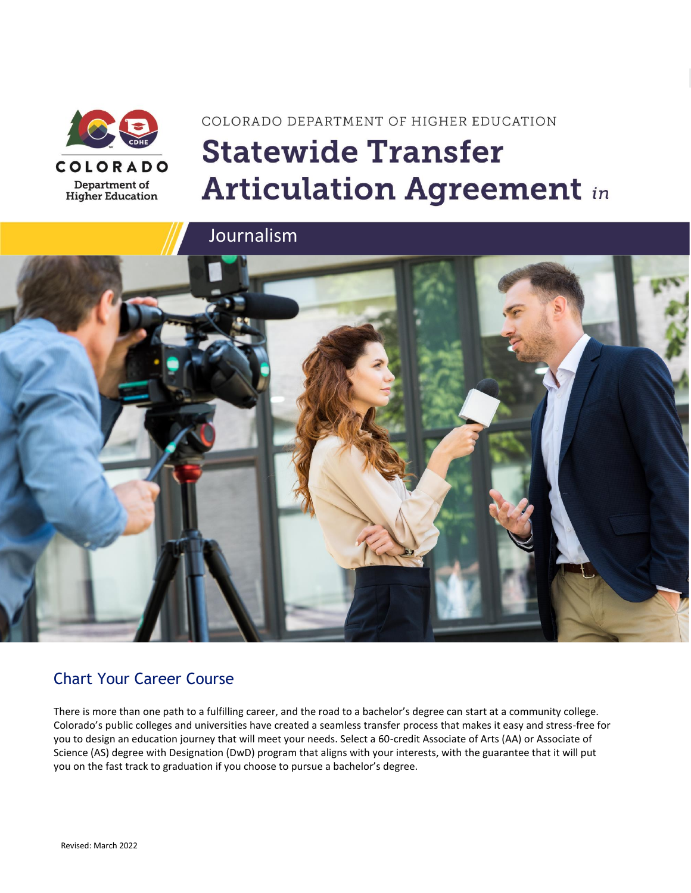

# COLORADO DEPARTMENT OF HIGHER EDUCATION **Statewide Transfer Articulation Agreement in**

Journalism



### Chart Your Career Course

There is more than one path to a fulfilling career, and the road to a bachelor's degree can start at a community college. Colorado's public colleges and universities have created a seamless transfer process that makes it easy and stress-free for you to design an education journey that will meet your needs. Select a 60-credit Associate of Arts (AA) or Associate of Science (AS) degree with Designation (DwD) program that aligns with your interests, with the guarantee that it will put you on the fast track to graduation if you choose to pursue a bachelor's degree.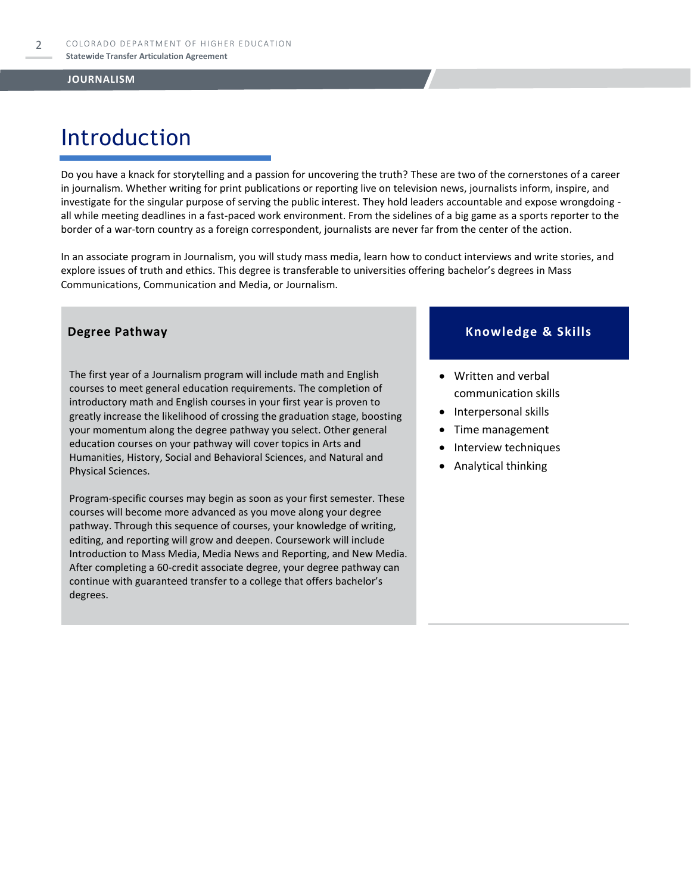# Introduction

Do you have a knack for storytelling and a passion for uncovering the truth? These are two of the cornerstones of a career in journalism. Whether writing for print publications or reporting live on television news, journalists inform, inspire, and investigate for the singular purpose of serving the public interest. They hold leaders accountable and expose wrongdoing all while meeting deadlines in a fast-paced work environment. From the sidelines of a big game as a sports reporter to the border of a war-torn country as a foreign correspondent, journalists are never far from the center of the action.

In an associate program in Journalism, you will study mass media, learn how to conduct interviews and write stories, and explore issues of truth and ethics. This degree is transferable to universities offering bachelor's degrees in Mass Communications, Communication and Media, or Journalism.

The first year of a Journalism program will include math and English courses to meet general education requirements. The completion of introductory math and English courses in your first year is proven to greatly increase the likelihood of crossing the graduation stage, boosting your momentum along the degree pathway you select. Other general education courses on your pathway will cover topics in Arts and Humanities, History, Social and Behavioral Sciences, and Natural and Physical Sciences.

Program-specific courses may begin as soon as your first semester. These courses will become more advanced as you move along your degree pathway. Through this sequence of courses, your knowledge of writing, editing, and reporting will grow and deepen. Coursework will include Introduction to Mass Media, Media News and Reporting, and New Media. After completing a 60-credit associate degree, your degree pathway can continue with guaranteed transfer to a college that offers bachelor's degrees.

### **Degree Pathway Knowledge & Skills**

- Written and verbal communication skills
- Interpersonal skills
- Time management
- Interview techniques
- Analytical thinking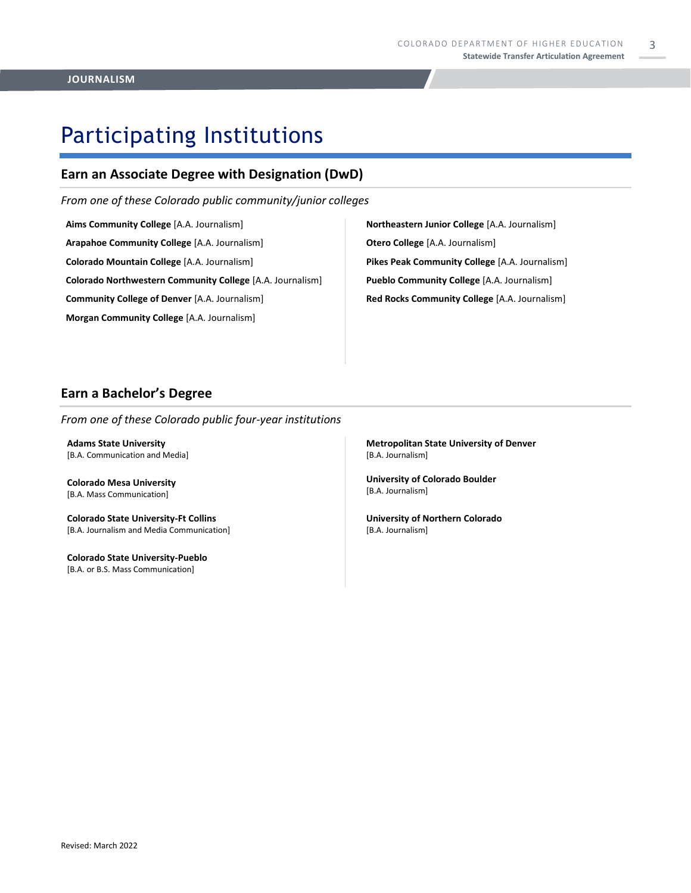3

# Participating Institutions

### **Earn an Associate Degree with Designation (DwD)**

*From one of these Colorado public community/junior colleges*

**Aims Community College** [A.A. Journalism] **Arapahoe Community College** [A.A. Journalism] **Colorado Mountain College** [A.A. Journalism] **Colorado Northwestern Community College** [A.A. Journalism] **Community College of Denver** [A.A. Journalism] **Morgan Community College** [A.A. Journalism]

**Northeastern Junior College** [A.A. Journalism] **Otero College** [A.A. Journalism] **Pikes Peak Community College** [A.A. Journalism] **Pueblo Community College** [A.A. Journalism] **Red Rocks Community College** [A.A. Journalism]

### **Earn a Bachelor's Degree**

*From one of these Colorado public four-year institutions*

**Adams State University**  [B.A. Communication and Media]

**Colorado Mesa University**  [B.A. Mass Communication]

**Colorado State University-Ft Collins**  [B.A. Journalism and Media Communication]

**Colorado State University-Pueblo**  [B.A. or B.S. Mass Communication]

**Metropolitan State University of Denver**  [B.A. Journalism]

**University of Colorado Boulder**  [B.A. Journalism]

**University of Northern Colorado** [B.A. Journalism]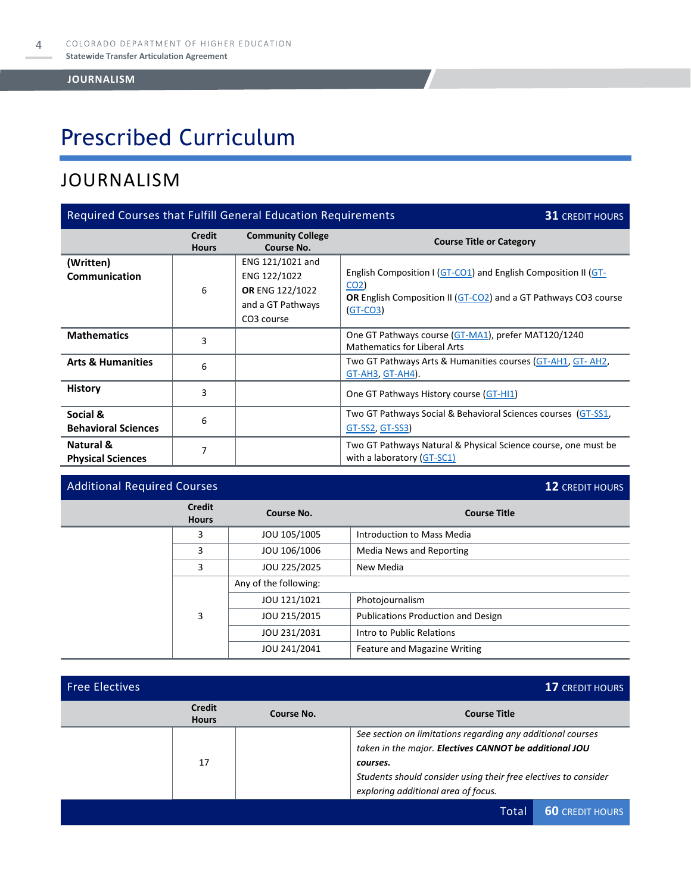# Prescribed Curriculum

### JOURNALISM

| Required Courses that Fulfill General Education Requirements<br><b>31 CREDIT HOURS</b> |                               |                                                                                                    |                                                                                                                                                                           |  |
|----------------------------------------------------------------------------------------|-------------------------------|----------------------------------------------------------------------------------------------------|---------------------------------------------------------------------------------------------------------------------------------------------------------------------------|--|
|                                                                                        | <b>Credit</b><br><b>Hours</b> | <b>Community College</b><br>Course No.                                                             | <b>Course Title or Category</b>                                                                                                                                           |  |
| (Written)<br>Communication                                                             | 6                             | ENG 121/1021 and<br>ENG 122/1022<br>OR ENG 122/1022<br>and a GT Pathways<br>CO <sub>3</sub> course | English Composition I (GT-CO1) and English Composition II (GT-<br>CO <sub>2</sub><br><b>OR</b> English Composition II (GT-CO2) and a GT Pathways CO3 course<br>$(GT-CO3)$ |  |
| <b>Mathematics</b>                                                                     | 3                             |                                                                                                    | One GT Pathways course (GT-MA1), prefer MAT120/1240<br><b>Mathematics for Liberal Arts</b>                                                                                |  |
| <b>Arts &amp; Humanities</b>                                                           | 6                             |                                                                                                    | Two GT Pathways Arts & Humanities courses (GT-AH1, GT-AH2,<br><b>GT-AH3, GT-AH4).</b>                                                                                     |  |
| <b>History</b>                                                                         | 3                             |                                                                                                    | One GT Pathways History course (GT-HI1)                                                                                                                                   |  |
| Social &<br><b>Behavioral Sciences</b>                                                 | 6                             |                                                                                                    | Two GT Pathways Social & Behavioral Sciences courses (GT-SS1,<br><u>GT-SS2, GT-SS3</u> )                                                                                  |  |
| Natural &<br><b>Physical Sciences</b>                                                  | 7                             |                                                                                                    | Two GT Pathways Natural & Physical Science course, one must be<br>with a laboratory (GT-SC1)                                                                              |  |

### Additional Required Courses **12** CREDIT HOURS

**Credit Hours Course No. Course Title** 3 **JOU 105/1005** Introduction to Mass Media 3 JOU 106/1006 Media News and Reporting 3 JOU 225/2025 New Media 3 Any of the following: JOU 121/1021 | Photojournalism JOU 215/2015 Publications Production and Design JOU 231/2031 | Intro to Public Relations JOU 241/2041 Feature and Magazine Writing

| <b>Free Electives</b> |                               |            |                                                                                                                                                                                                                                             | <b>17 CREDIT HOURS</b> |
|-----------------------|-------------------------------|------------|---------------------------------------------------------------------------------------------------------------------------------------------------------------------------------------------------------------------------------------------|------------------------|
|                       | <b>Credit</b><br><b>Hours</b> | Course No. | <b>Course Title</b>                                                                                                                                                                                                                         |                        |
|                       | 17                            |            | See section on limitations regarding any additional courses<br>taken in the major. Electives CANNOT be additional JOU<br>courses.<br>Students should consider using their free electives to consider<br>exploring additional area of focus. |                        |
|                       |                               |            | Total                                                                                                                                                                                                                                       | <b>60 CREDIT HOURS</b> |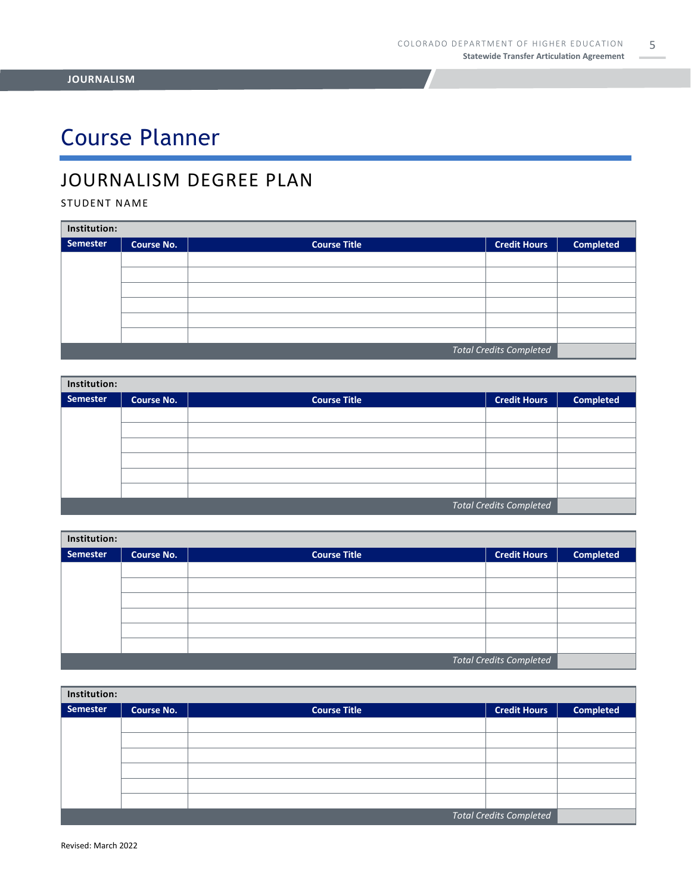# Course Planner

## JOURNALISM DEGREE PLAN

STUDENT NAME

| Institution:                   |                   |                     |                     |                  |  |
|--------------------------------|-------------------|---------------------|---------------------|------------------|--|
| Semester                       | <b>Course No.</b> | <b>Course Title</b> | <b>Credit Hours</b> | <b>Completed</b> |  |
|                                |                   |                     |                     |                  |  |
|                                |                   |                     |                     |                  |  |
|                                |                   |                     |                     |                  |  |
|                                |                   |                     |                     |                  |  |
|                                |                   |                     |                     |                  |  |
|                                |                   |                     |                     |                  |  |
| <b>Total Credits Completed</b> |                   |                     |                     |                  |  |

| Institution:                   |                   |                     |                     |                  |  |
|--------------------------------|-------------------|---------------------|---------------------|------------------|--|
| Semester                       | <b>Course No.</b> | <b>Course Title</b> | <b>Credit Hours</b> | <b>Completed</b> |  |
|                                |                   |                     |                     |                  |  |
|                                |                   |                     |                     |                  |  |
|                                |                   |                     |                     |                  |  |
|                                |                   |                     |                     |                  |  |
|                                |                   |                     |                     |                  |  |
|                                |                   |                     |                     |                  |  |
| <b>Total Credits Completed</b> |                   |                     |                     |                  |  |

| Institution: |                   |                     |                                |                  |  |
|--------------|-------------------|---------------------|--------------------------------|------------------|--|
| Semester     | <b>Course No.</b> | <b>Course Title</b> | <b>Credit Hours</b>            | <b>Completed</b> |  |
|              |                   |                     |                                |                  |  |
|              |                   |                     |                                |                  |  |
|              |                   |                     |                                |                  |  |
|              |                   |                     |                                |                  |  |
|              |                   |                     |                                |                  |  |
|              |                   |                     |                                |                  |  |
|              |                   |                     | <b>Total Credits Completed</b> |                  |  |

| Institution:            |                   |                     |                     |                  |  |
|-------------------------|-------------------|---------------------|---------------------|------------------|--|
| Semester                | <b>Course No.</b> | <b>Course Title</b> | <b>Credit Hours</b> | <b>Completed</b> |  |
|                         |                   |                     |                     |                  |  |
|                         |                   |                     |                     |                  |  |
|                         |                   |                     |                     |                  |  |
|                         |                   |                     |                     |                  |  |
|                         |                   |                     |                     |                  |  |
|                         |                   |                     |                     |                  |  |
| Total Credits Completed |                   |                     |                     |                  |  |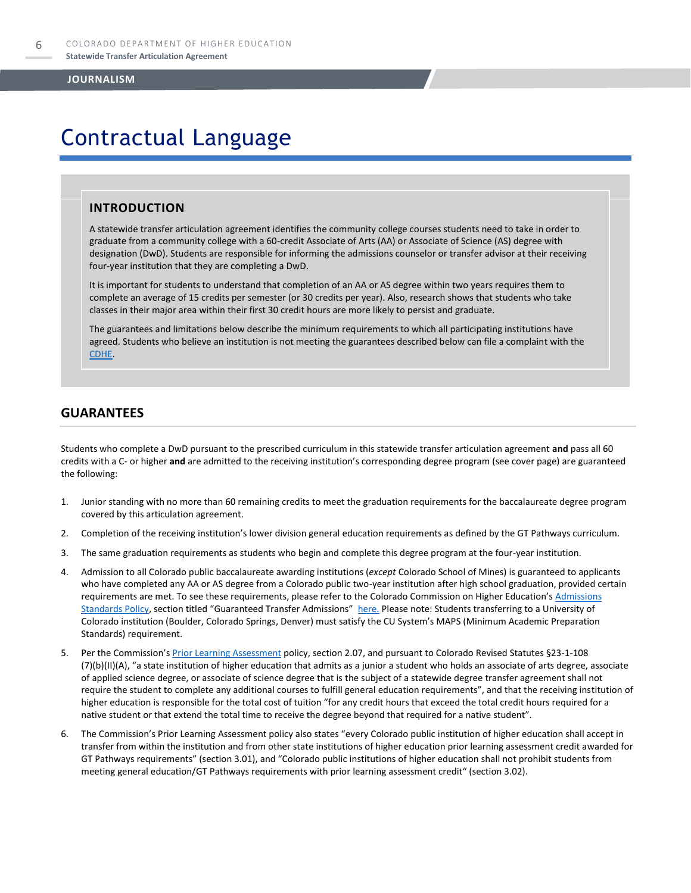# Contractual Language

### **INTRODUCTION**

A statewide transfer articulation agreement identifies the community college courses students need to take in order to graduate from a community college with a 60-credit Associate of Arts (AA) or Associate of Science (AS) degree with designation (DwD). Students are responsible for informing the admissions counselor or transfer advisor at their receiving four-year institution that they are completing a DwD.

It is important for students to understand that completion of an AA or AS degree within two years requires them to complete an average of 15 credits per semester (or 30 credits per year). Also, research shows that students who take classes in their major area within their first 30 credit hours are more likely to persist and graduate.

The guarantees and limitations below describe the minimum requirements to which all participating institutions have agreed. Students who believe an institution is not meeting the guarantees described below can file a complaint with the [CDHE.](https://highered.colorado.gov/filing-student-complaint) 

### **GUARANTEES**

Students who complete a DwD pursuant to the prescribed curriculum in this statewide transfer articulation agreement **and** pass all 60 credits with a C- or higher **and** are admitted to the receiving institution's corresponding degree program (see cover page) are guaranteed the following:

- 1. Junior standing with no more than 60 remaining credits to meet the graduation requirements for the baccalaureate degree program covered by this articulation agreement.
- 2. Completion of the receiving institution's lower division general education requirements as defined by the GT Pathways curriculum.
- 3. The same graduation requirements as students who begin and complete this degree program at the four-year institution.
- 4. Admission to all Colorado public baccalaureate awarding institutions (*except* Colorado School of Mines) is guaranteed to applicants who have completed any AA or AS degree from a Colorado public two-year institution after high school graduation, provided certain requirements are met. To see these requirements, please refer to the Colorado Commission on Higher Education's Admissions [Standards Policy](https://highered.colorado.gov/sites/highered/files/2020-03/i-partf_0.pdf), section titled "Guaranteed Transfer Admissions" [here.](https://highered.colorado.gov/educators/policy-funding/cche-policies-procedures) Please note: Students transferring to a University of Colorado institution (Boulder, Colorado Springs, Denver) must satisfy the CU System's MAPS (Minimum Academic Preparation Standards) requirement.
- 5. Per the Commission's [Prior Learning Assessment](https://highered.colorado.gov/sites/highered/files/2020-03/i-partx.pdf) policy, section 2.07, and pursuant to Colorado Revised Statutes §23-1-108 (7)(b)(II)(A), "a state institution of higher education that admits as a junior a student who holds an associate of arts degree, associate of applied science degree, or associate of science degree that is the subject of a statewide degree transfer agreement shall not require the student to complete any additional courses to fulfill general education requirements", and that the receiving institution of higher education is responsible for the total cost of tuition "for any credit hours that exceed the total credit hours required for a native student or that extend the total time to receive the degree beyond that required for a native student".
- 6. The Commission's Prior Learning Assessment policy also states "every Colorado public institution of higher education shall accept in transfer from within the institution and from other state institutions of higher education prior learning assessment credit awarded for GT Pathways requirements" (section 3.01), and "Colorado public institutions of higher education shall not prohibit students from meeting general education/GT Pathways requirements with prior learning assessment credit" (section 3.02).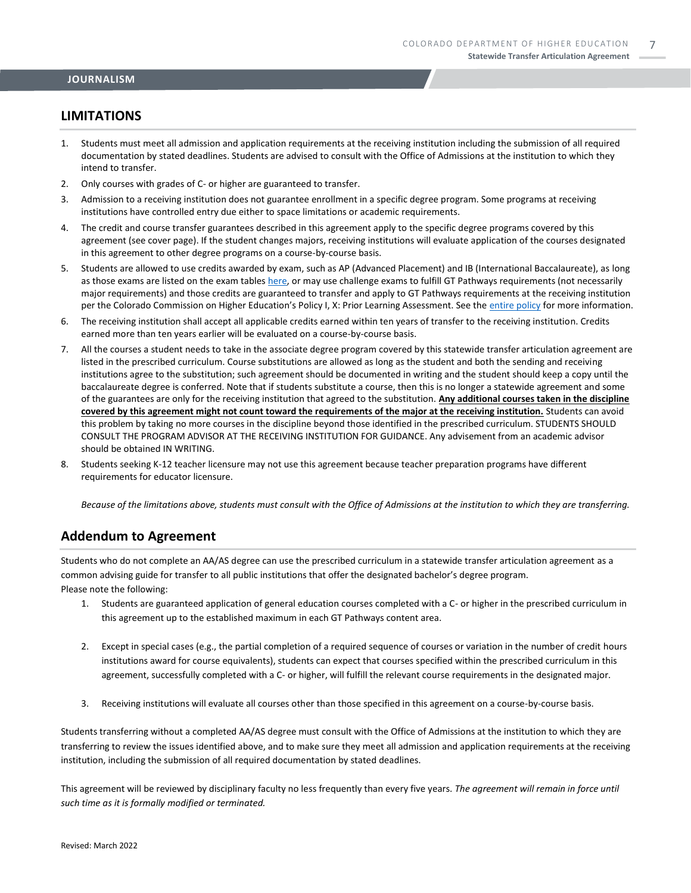### **LIMITATIONS**

- 1. Students must meet all admission and application requirements at the receiving institution including the submission of all required documentation by stated deadlines. Students are advised to consult with the Office of Admissions at the institution to which they intend to transfer.
- 2. Only courses with grades of C- or higher are guaranteed to transfer.
- 3. Admission to a receiving institution does not guarantee enrollment in a specific degree program. Some programs at receiving institutions have controlled entry due either to space limitations or academic requirements.
- 4. The credit and course transfer guarantees described in this agreement apply to the specific degree programs covered by this agreement (see cover page). If the student changes majors, receiving institutions will evaluate application of the courses designated in this agreement to other degree programs on a course-by-course basis.
- 5. Students are allowed to use credits awarded by exam, such as AP (Advanced Placement) and IB (International Baccalaureate), as long as those exams are listed on the exam table[s here,](https://highered.colorado.gov/get-credit-for-what-you-already-know) or may use challenge exams to fulfill GT Pathways requirements (not necessarily major requirements) and those credits are guaranteed to transfer and apply to GT Pathways requirements at the receiving institution per the Colorado Commission on Higher Education's Policy I, X: Prior Learning Assessment. See the [entire policy](https://highered.colorado.gov/sites/highered/files/2020-03/i-partx.pdf) for more information.
- 6. The receiving institution shall accept all applicable credits earned within ten years of transfer to the receiving institution. Credits earned more than ten years earlier will be evaluated on a course-by-course basis.
- 7. All the courses a student needs to take in the associate degree program covered by this statewide transfer articulation agreement are listed in the prescribed curriculum. Course substitutions are allowed as long as the student and both the sending and receiving institutions agree to the substitution; such agreement should be documented in writing and the student should keep a copy until the baccalaureate degree is conferred. Note that if students substitute a course, then this is no longer a statewide agreement and some of the guarantees are only for the receiving institution that agreed to the substitution. **Any additional courses taken in the discipline covered by this agreement might not count toward the requirements of the major at the receiving institution.** Students can avoid this problem by taking no more courses in the discipline beyond those identified in the prescribed curriculum. STUDENTS SHOULD CONSULT THE PROGRAM ADVISOR AT THE RECEIVING INSTITUTION FOR GUIDANCE. Any advisement from an academic advisor should be obtained IN WRITING.
- 8. Students seeking K-12 teacher licensure may not use this agreement because teacher preparation programs have different requirements for educator licensure.

*Because of the limitations above, students must consult with the Office of Admissions at the institution to which they are transferring.*

### **Addendum to Agreement**

Students who do not complete an AA/AS degree can use the prescribed curriculum in a statewide transfer articulation agreement as a common advising guide for transfer to all public institutions that offer the designated bachelor's degree program. Please note the following:

- 1. Students are guaranteed application of general education courses completed with a C- or higher in the prescribed curriculum in this agreement up to the established maximum in each GT Pathways content area.
- 2. Except in special cases (e.g., the partial completion of a required sequence of courses or variation in the number of credit hours institutions award for course equivalents), students can expect that courses specified within the prescribed curriculum in this agreement, successfully completed with a C- or higher, will fulfill the relevant course requirements in the designated major.
- 3. Receiving institutions will evaluate all courses other than those specified in this agreement on a course-by-course basis.

Students transferring without a completed AA/AS degree must consult with the Office of Admissions at the institution to which they are transferring to review the issues identified above, and to make sure they meet all admission and application requirements at the receiving institution, including the submission of all required documentation by stated deadlines.

This agreement will be reviewed by disciplinary faculty no less frequently than every five years. *The agreement will remain in force until such time as it is formally modified or terminated.*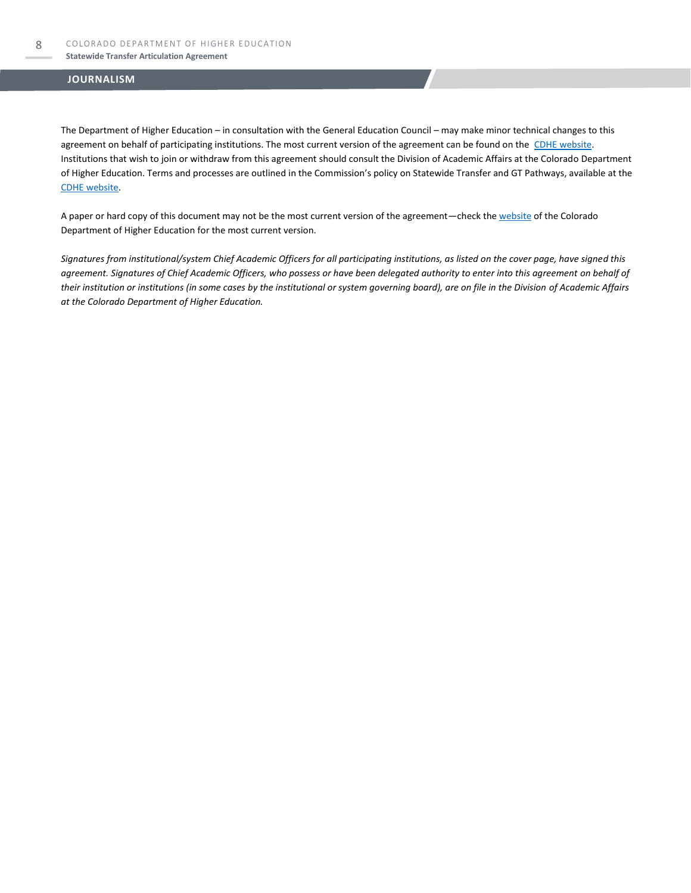#### **Statewide Transfer Articulation Agreement**

#### **JOURNALISM**

The Department of Higher Education – in consultation with the General Education Council – may make minor technical changes to this agreement on behalf of participating institutions. The most current version of the agreement can be found on the [CDHE website.](https://highered.colorado.gov/transfer-degrees) Institutions that wish to join or withdraw from this agreement should consult the Division of Academic Affairs at the Colorado Department of Higher Education. Terms and processes are outlined in the Commission's policy on Statewide Transfer and GT Pathways, available at the [CDHE website.](https://highered.colorado.gov/educators/policy-funding/general-education-ge-council/gtpathways/transfer-agreements)

A paper or hard copy of this document may not be the most current version of the agreement—check th[e website](https://highered.colorado.gov/transfer-degrees) of the Colorado Department of Higher Education for the most current version.

*Signatures from institutional/system Chief Academic Officers for all participating institutions, as listed on the cover page, have signed this agreement. Signatures of Chief Academic Officers, who possess or have been delegated authority to enter into this agreement on behalf of their institution or institutions (in some cases by the institutional or system governing board), are on file in the Division of Academic Affairs at the Colorado Department of Higher Education.*